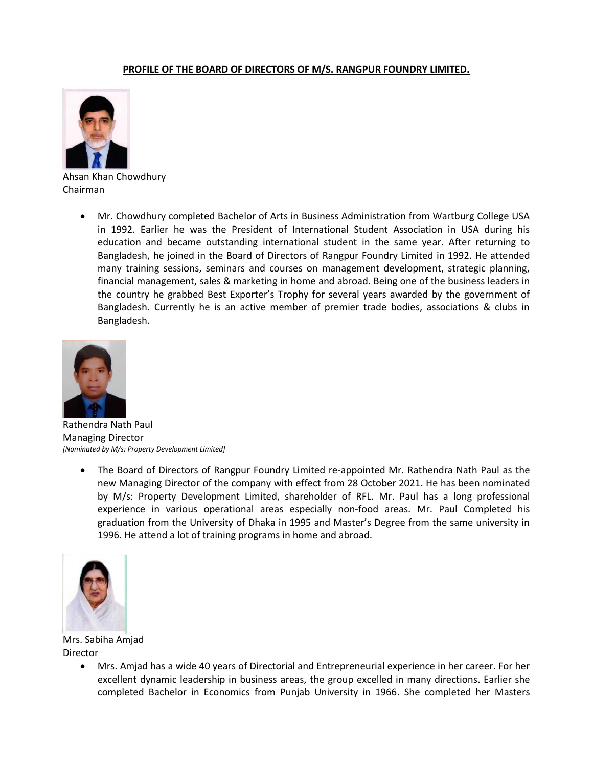## **PROFILE OF THE BOARD OF DIRECTORS OF M/S. RANGPUR FOUNDRY LIMITED.**



Ahsan Khan Chowdhury Chairman

> Mr. Chowdhury completed Bachelor of Arts in Business Administration from Wartburg College USA in 1992. Earlier he was the President of International Student Association in USA during his education and became outstanding international student in the same year. After returning to Bangladesh, he joined in the Board of Directors of Rangpur Foundry Limited in 1992. He attended many training sessions, seminars and courses on management development, strategic planning, financial management, sales & marketing in home and abroad. Being one of the business leaders in the country he grabbed Best Exporter's Trophy for several years awarded by the government of Bangladesh. Currently he is an active member of premier trade bodies, associations & clubs in Bangladesh.



Rathendra Nath Paul Managing Director *[Nominated by M/s: Property Development Limited]*

 The Board of Directors of Rangpur Foundry Limited re-appointed Mr. Rathendra Nath Paul as the new Managing Director of the company with effect from 28 October 2021. He has been nominated by M/s: Property Development Limited, shareholder of RFL. Mr. Paul has a long professional experience in various operational areas especially non-food areas. Mr. Paul Completed his graduation from the University of Dhaka in 1995 and Master's Degree from the same university in 1996. He attend a lot of training programs in home and abroad.



Mrs. Sabiha Amjad **Director** 

> Mrs. Amjad has a wide 40 years of Directorial and Entrepreneurial experience in her career. For her excellent dynamic leadership in business areas, the group excelled in many directions. Earlier she completed Bachelor in Economics from Punjab University in 1966. She completed her Masters